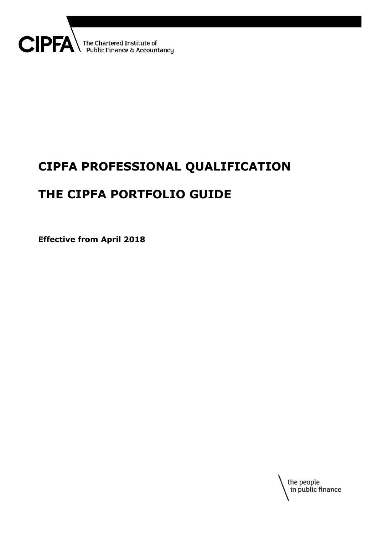

# **CIPFA PROFESSIONAL QUALIFICATION**

# **THE CIPFA PORTFOLIO GUIDE**

**Effective from April 2018**

the people<br>in public finance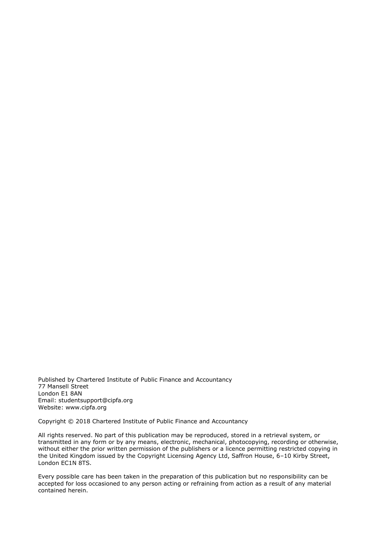Published by Chartered Institute of Public Finance and Accountancy 77 Mansell Street London E1 8AN Email: studentsuppor[t@cipfa.org](mailto:@cipfa.org) Website: www.cipfa.org

Copyright © 2018 Chartered Institute of Public Finance and Accountancy

All rights reserved. No part of this publication may be reproduced, stored in a retrieval system, or transmitted in any form or by any means, electronic, mechanical, photocopying, recording or otherwise, without either the prior written permission of the publishers or a licence permitting restricted copying in the United Kingdom issued by the Copyright Licensing Agency Ltd, Saffron House, 6–10 Kirby Street, London EC1N 8TS.

Every possible care has been taken in the preparation of this publication but no responsibility can be accepted for loss occasioned to any person acting or refraining from action as a result of any material contained herein.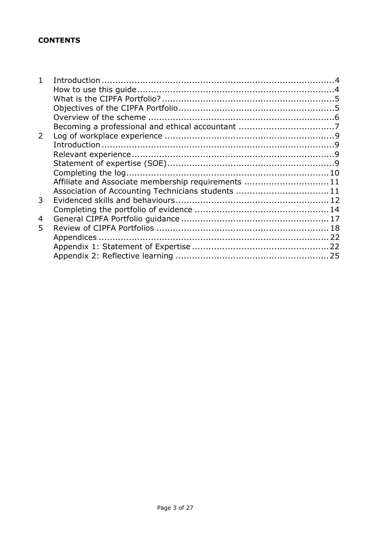## **CONTENTS**

| 1 |                                                    |  |
|---|----------------------------------------------------|--|
|   |                                                    |  |
|   |                                                    |  |
|   |                                                    |  |
|   |                                                    |  |
|   |                                                    |  |
| 2 |                                                    |  |
|   |                                                    |  |
|   |                                                    |  |
|   |                                                    |  |
|   |                                                    |  |
|   | Affiliate and Associate membership requirements 11 |  |
|   | Association of Accounting Technicians students 11  |  |
| 3 |                                                    |  |
|   |                                                    |  |
| 4 |                                                    |  |
| 5 |                                                    |  |
|   |                                                    |  |
|   |                                                    |  |
|   |                                                    |  |
|   |                                                    |  |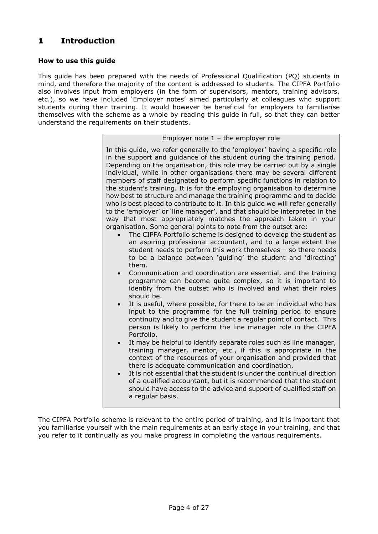## <span id="page-3-0"></span>**1 Introduction**

#### <span id="page-3-1"></span>**How to use this guide**

This guide has been prepared with the needs of Professional Qualification (PQ) students in mind, and therefore the majority of the content is addressed to students. The CIPFA Portfolio also involves input from employers (in the form of supervisors, mentors, training advisors, etc.), so we have included 'Employer notes' aimed particularly at colleagues who support students during their training. It would however be beneficial for employers to familiarise themselves with the scheme as a whole by reading this guide in full, so that they can better understand the requirements on their students.

#### Employer note 1 – the employer role

In this guide, we refer generally to the 'employer' having a specific role in the support and guidance of the student during the training period. Depending on the organisation, this role may be carried out by a single individual, while in other organisations there may be several different members of staff designated to perform specific functions in relation to the student's training. It is for the employing organisation to determine how best to structure and manage the training programme and to decide who is best placed to contribute to it. In this guide we will refer generally to the 'employer' or 'line manager', and that should be interpreted in the way that most appropriately matches the approach taken in your organisation. Some general points to note from the outset are:

- The CIPFA Portfolio scheme is designed to develop the student as an aspiring professional accountant, and to a large extent the student needs to perform this work themselves – so there needs to be a balance between 'guiding' the student and 'directing' them.
- Communication and coordination are essential, and the training programme can become quite complex, so it is important to identify from the outset who is involved and what their roles should be.
- It is useful, where possible, for there to be an individual who has input to the programme for the full training period to ensure continuity and to give the student a regular point of contact. This person is likely to perform the line manager role in the CIPFA Portfolio.
- It may be helpful to identify separate roles such as line manager, training manager, mentor, etc., if this is appropriate in the context of the resources of your organisation and provided that there is adequate communication and coordination.
- It is not essential that the student is under the continual direction of a qualified accountant, but it is recommended that the student should have access to the advice and support of qualified staff on a regular basis.

The CIPFA Portfolio scheme is relevant to the entire period of training, and it is important that you familiarise yourself with the main requirements at an early stage in your training, and that you refer to it continually as you make progress in completing the various requirements.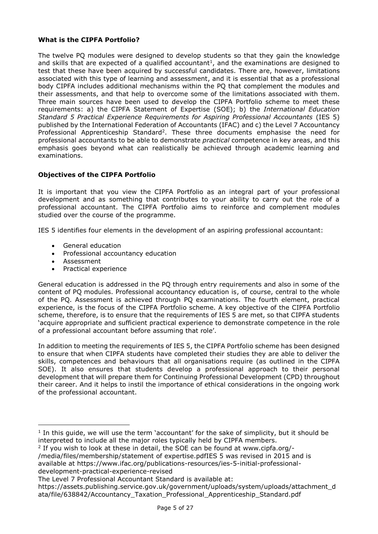#### <span id="page-4-0"></span>**What is the CIPFA Portfolio?**

The twelve PQ modules were designed to develop students so that they gain the knowledge and skills that are expected of a qualified accountant<sup>1</sup>, and the examinations are designed to test that these have been acquired by successful candidates. There are, however, limitations associated with this type of learning and assessment, and it is essential that as a professional body CIPFA includes additional mechanisms within the PQ that complement the modules and their assessments, and that help to overcome some of the limitations associated with them. Three main sources have been used to develop the CIPFA Portfolio scheme to meet these requirements: a) the CIPFA Statement of Expertise (SOE); b) the *International Education Standard 5 Practical Experience Requirements for Aspiring Professional Accountants* (IES 5) published by the International Federation of Accountants (IFAC) and c) the Level 7 Accountancy Professional Apprenticeship Standard<sup>2</sup>. These three documents emphasise the need for professional accountants to be able to demonstrate *practical* competence in key areas, and this emphasis goes beyond what can realistically be achieved through academic learning and examinations.

### <span id="page-4-1"></span>**Objectives of the CIPFA Portfolio**

It is important that you view the CIPFA Portfolio as an integral part of your professional development and as something that contributes to your ability to carry out the role of a professional accountant. The CIPFA Portfolio aims to reinforce and complement modules studied over the course of the programme.

IES 5 identifies four elements in the development of an aspiring professional accountant:

- General education
- Professional accountancy education
- Assessment

 $\overline{a}$ 

• Practical experience

General education is addressed in the PQ through entry requirements and also in some of the content of PQ modules. Professional accountancy education is, of course, central to the whole of the PQ. Assessment is achieved through PQ examinations. The fourth element, practical experience, is the focus of the CIPFA Portfolio scheme. A key objective of the CIPFA Portfolio scheme, therefore, is to ensure that the requirements of IES 5 are met, so that CIPFA students 'acquire appropriate and sufficient practical experience to demonstrate competence in the role of a professional accountant before assuming that role'.

In addition to meeting the requirements of IES 5, the CIPFA Portfolio scheme has been designed to ensure that when CIPFA students have completed their studies they are able to deliver the skills, competences and behaviours that all organisations require (as outlined in the CIPFA SOE). It also ensures that students develop a professional approach to their personal development that will prepare them for Continuing Professional Development (CPD) throughout their career. And it helps to instil the importance of ethical considerations in the ongoing work of the professional accountant.

/media/files/membership/statement of expertise.pdfIES 5 was revised in 2015 and is available at [https://www.ifac.org/publications-resources/ies-5-initial-professional](https://www.ifac.org/publications-resources/ies-5-initial-professional-development-practical-experience-revised)[development-practical-experience-revised](https://www.ifac.org/publications-resources/ies-5-initial-professional-development-practical-experience-revised)

<sup>&</sup>lt;sup>1</sup> In this guide, we will use the term 'accountant' for the sake of simplicity, but it should be interpreted to include all the major roles typically held by CIPFA members.

<sup>&</sup>lt;sup>2</sup> If you wish to look at these in detail, the SOE can be found at www.cipfa.org/-

The Level 7 Professional Accountant Standard is available at:

https://assets.publishing.service.gov.uk/government/uploads/system/uploads/attachment\_d ata/file/638842/Accountancy\_Taxation\_Professional\_Apprenticeship\_Standard.pdf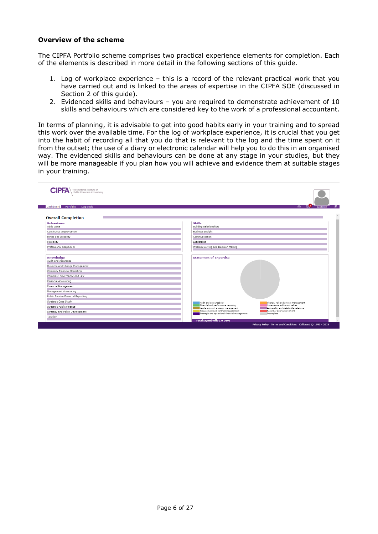#### <span id="page-5-0"></span>**Overview of the scheme**

The CIPFA Portfolio scheme comprises two practical experience elements for completion. Each of the elements is described in more detail in the following sections of this guide.

- 1. Log of workplace experience this is a record of the relevant practical work that you have carried out and is linked to the areas of expertise in the CIPFA SOE (discussed in Section 2 of this guide).
- 2. Evidenced skills and behaviours you are required to demonstrate achievement of 10 skills and behaviours which are considered key to the work of a professional accountant.

In terms of planning, it is advisable to get into good habits early in your training and to spread this work over the available time. For the log of workplace experience, it is crucial that you get into the habit of recording all that you do that is relevant to the log and the time spent on it from the outset; the use of a diary or electronic calendar will help you to do this in an organised way. The evidenced skills and behaviours can be done at any stage in your studies, but they will be more manageable if you plan how you will achieve and evidence them at suitable stages in your training.

|                                           | $\overline{\bowtie}$ $\overline{\bowtie}$ $\overline{\bowtie}$ Candidate                                                                             |
|-------------------------------------------|------------------------------------------------------------------------------------------------------------------------------------------------------|
| Portfolio<br>Dashboard<br><b>Log Book</b> |                                                                                                                                                      |
| <b>Overall Completion</b>                 |                                                                                                                                                      |
| <b>Behaviours</b><br>Adds Value           | <b>Skills</b><br><b>Building Relationships</b>                                                                                                       |
| Continuous Improvement                    | <b>Business Insight</b>                                                                                                                              |
| Ethics and Integrity                      | Communication                                                                                                                                        |
| Flexibility                               | Leadership                                                                                                                                           |
| Professional Scepticism                   | Problem Solving and Decision Making                                                                                                                  |
| Knowledge<br>Audit and Assurance          | <b>Statement of Expertise</b>                                                                                                                        |
| Business and Change Management            |                                                                                                                                                      |
| Company Financial Reporting               |                                                                                                                                                      |
| Corporate Governance and Law              |                                                                                                                                                      |
| Financial Accounting                      |                                                                                                                                                      |
| Financial Management                      |                                                                                                                                                      |
| Management Accounting                     |                                                                                                                                                      |
| Public Service Financial Reporting        |                                                                                                                                                      |
| Strategic Case Study                      | Audit and accountability<br>Change, risk and project management                                                                                      |
| Strategic Public Finance                  | Financial and performance reporting<br>Governance, ethics and values<br>Leadership and strategic management<br>Partnership and stakeholder relations |
| Strategy and Policy Development           | Procurement and contract management<br>Record of prior achievement<br>Strategic and operational financial management<br>Incomplete                   |
| Taxation                                  |                                                                                                                                                      |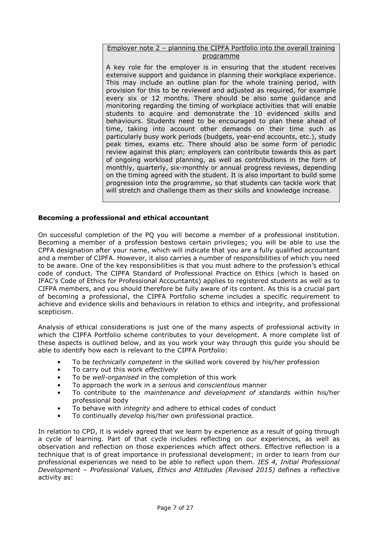#### Employer note 2 – planning the CIPFA Portfolio into the overall training programme

A key role for the employer is in ensuring that the student receives extensive support and guidance in planning their workplace experience. This may include an outline plan for the whole training period, with provision for this to be reviewed and adjusted as required, for example every six or 12 months. There should be also some guidance and monitoring regarding the timing of workplace activities that will enable students to acquire and demonstrate the 10 evidenced skills and behaviours. Students need to be encouraged to plan these ahead of time, taking into account other demands on their time such as particularly busy work periods (budgets, year-end accounts, etc.), study peak times, exams etc. There should also be some form of periodic review against this plan; employers can contribute towards this as part of ongoing workload planning, as well as contributions in the form of monthly, quarterly, six-monthly or annual progress reviews, depending on the timing agreed with the student. It is also important to build some progression into the programme, so that students can tackle work that will stretch and challenge them as their skills and knowledge increase.

#### <span id="page-6-0"></span>**Becoming a professional and ethical accountant**

On successful completion of the PQ you will become a member of a professional institution. Becoming a member of a profession bestows certain privileges; you will be able to use the CPFA designation after your name, which will indicate that you are a fully qualified accountant and a member of CIPFA. However, it also carries a number of responsibilities of which you need to be aware. One of the key responsibilities is that you must adhere to the profession's ethical code of conduct. The CIPFA Standard of Professional Practice on Ethics (which is based on IFAC's Code of Ethics for Professional Accountants) applies to registered students as well as to CIFPA members, and you should therefore be fully aware of its content. As this is a crucial part of becoming a professional, the CIPFA Portfolio scheme includes a specific requirement to achieve and evidence skills and behaviours in relation to ethics and integrity, and professional scepticism.

Analysis of ethical considerations is just one of the many aspects of professional activity in which the CIPFA Portfolio scheme contributes to your development. A more complete list of these aspects is outlined below, and as you work your way through this guide you should be able to identify how each is relevant to the CIPFA Portfolio:

- To be *technically competent* in the skilled work covered by his/her profession
- To carry out this work *effectively*
- To be *well-organised* in the completion of this work
- To approach the work in a *serious* and *conscientious* manner
- To contribute to the *maintenance and development of standards* within his/her professional body
- To behave with *integrity* and adhere to ethical codes of conduct
- To continually *develop* his/her own professional practice.

In relation to CPD, it is widely agreed that we learn by experience as a result of going through a cycle of learning. Part of that cycle includes reflecting on our experiences, as well as observation and reflection on those experiences which affect others. Effective reflection is a technique that is of great importance in professional development; in order to learn from our professional experiences we need to be able to reflect upon them. *IES 4, Initial Professional Development – Professional Values, Ethics and Attitudes (Revised 2015)* defines a reflective activity as: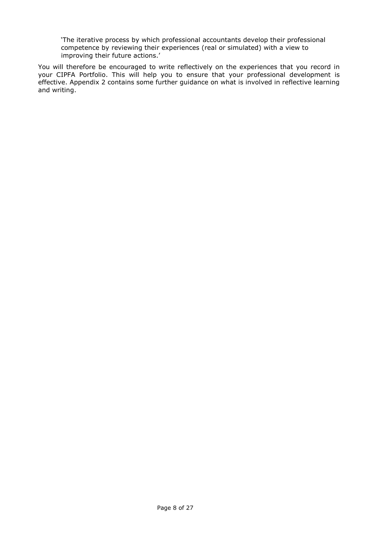'The iterative process by which professional accountants develop their professional competence by reviewing their experiences (real or simulated) with a view to improving their future actions.'

You will therefore be encouraged to write reflectively on the experiences that you record in your CIPFA Portfolio. This will help you to ensure that your professional development is effective. Appendix 2 contains some further guidance on what is involved in reflective learning and writing.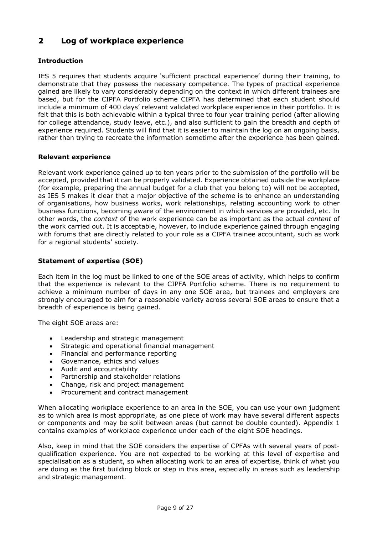## <span id="page-8-0"></span>**2 Log of workplace experience**

#### <span id="page-8-1"></span>**Introduction**

IES 5 requires that students acquire 'sufficient practical experience' during their training, to demonstrate that they possess the necessary competence. The types of practical experience gained are likely to vary considerably depending on the context in which different trainees are based, but for the CIPFA Portfolio scheme CIPFA has determined that each student should include a minimum of 400 days' relevant validated workplace experience in their portfolio. It is felt that this is both achievable within a typical three to four year training period (after allowing for college attendance, study leave, etc.), and also sufficient to gain the breadth and depth of experience required. Students will find that it is easier to maintain the log on an ongoing basis, rather than trying to recreate the information sometime after the experience has been gained.

#### <span id="page-8-2"></span>**Relevant experience**

Relevant work experience gained up to ten years prior to the submission of the portfolio will be accepted, provided that it can be properly validated. Experience obtained outside the workplace (for example, preparing the annual budget for a club that you belong to) will not be accepted, as IES 5 makes it clear that a major objective of the scheme is to enhance an understanding of organisations, how business works, work relationships, relating accounting work to other business functions, becoming aware of the environment in which services are provided, etc. In other words, the *context* of the work experience can be as important as the actual *content* of the work carried out. It is acceptable, however, to include experience gained through engaging with forums that are directly related to your role as a CIPFA trainee accountant, such as work for a regional students' society.

#### <span id="page-8-3"></span>**Statement of expertise (SOE)**

Each item in the log must be linked to one of the SOE areas of activity, which helps to confirm that the experience is relevant to the CIPFA Portfolio scheme. There is no requirement to achieve a minimum number of days in any one SOE area, but trainees and employers are strongly encouraged to aim for a reasonable variety across several SOE areas to ensure that a breadth of experience is being gained.

The eight SOE areas are:

- Leadership and strategic management
- Strategic and operational financial management
- Financial and performance reporting
- Governance, ethics and values
- Audit and accountability
- Partnership and stakeholder relations
- Change, risk and project management
- Procurement and contract management

When allocating workplace experience to an area in the SOE, you can use your own judgment as to which area is most appropriate, as one piece of work may have several different aspects or components and may be split between areas (but cannot be double counted). Appendix 1 contains examples of workplace experience under each of the eight SOE headings.

Also, keep in mind that the SOE considers the expertise of CPFAs with several years of postqualification experience. You are not expected to be working at this level of expertise and specialisation as a student, so when allocating work to an area of expertise, think of what you are doing as the first building block or step in this area, especially in areas such as leadership and strategic management.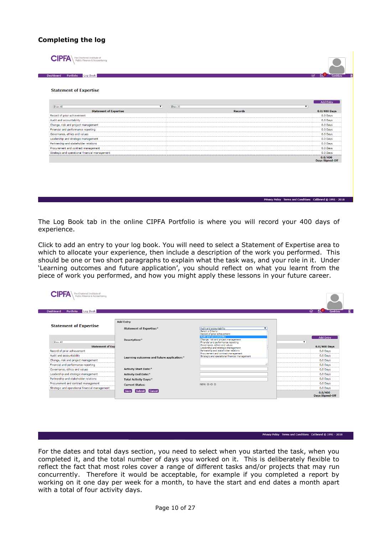#### <span id="page-9-0"></span>**Completing the log**

**CIPFA** The Chartered Institute of

Portfolio Log Book

#### **Statement of Expertise**

|                                                |                | <b>Add Entry</b>                  |
|------------------------------------------------|----------------|-----------------------------------|
| Show All<br>$\mathbf{v}$                       | Show All<br>▼  |                                   |
| <b>Statement of Expertise</b>                  | <b>Records</b> | $0.0/400$ Days                    |
| Record of prior achievement                    |                | 0.0 Days                          |
| Audit and accountability                       |                | 0.0 Days                          |
| Change, risk and project management            |                | 0.0 Days                          |
| Financial and performance reporting            |                | 0.0 Days                          |
| Governance, ethics and values                  |                | 0.0 Days                          |
| Leadership and strategic management            |                | 0.0 Days                          |
| Partnership and stakeholder relations          |                | 0.0 Days                          |
| Procurement and contract management            |                | 0.0 Days                          |
| Strategic and operational financial management |                | 0.0 Days                          |
|                                                |                | 0.0/400<br><b>Days Signed-Off</b> |

The Log Book tab in the online CIPFA Portfolio is where you will record your 400 days of experience.

Click to add an entry to your log book. You will need to select a Statement of Expertise area to which to allocate your experience, then include a description of the work you performed. This should be one or two short paragraphs to explain what the task was, and your role in it. Under 'Learning outcomes and future application', you should reflect on what you learnt from the piece of work you performed, and how you might apply these lessons in your future career.

| Portfolio<br>Dashboard<br>Log Book             |                                            |                                                                                                                                                                                                                                               | $E^2$<br>$\overline{\omega}$<br>Candidate    |
|------------------------------------------------|--------------------------------------------|-----------------------------------------------------------------------------------------------------------------------------------------------------------------------------------------------------------------------------------------------|----------------------------------------------|
|                                                | <b>Add Entry</b>                           |                                                                                                                                                                                                                                               |                                              |
| <b>Statement of Expertise</b>                  | Statement of Expertise:*                   | Audit and accountability<br>Select a Criteria                                                                                                                                                                                                 |                                              |
|                                                |                                            | Record of prior achievement<br>Audit and accountability                                                                                                                                                                                       |                                              |
| Show All                                       | Description:*                              | Change, risk and project management                                                                                                                                                                                                           | <b>Add Entry</b><br>$\overline{\phantom{a}}$ |
| <b>Statement of Exp</b>                        |                                            | Financial and performance reporting<br>Governance, ethics and values<br>Leadership and strategic management<br>Partnership and stakeholder relations<br>Procurement and contract management<br>Strategic and operational financial management | $0.0/400$ Days                               |
| Record of prior achievement                    | Learning outcomes and future application:* |                                                                                                                                                                                                                                               | 0.0 Days                                     |
| Audit and accountability                       |                                            |                                                                                                                                                                                                                                               | 0.0 Days                                     |
| Change, risk and project management            |                                            |                                                                                                                                                                                                                                               | 0.0 Days                                     |
| Financial and performance reporting            |                                            |                                                                                                                                                                                                                                               | 0.0 Days                                     |
| Governance, ethics and values                  | <b>Activity Start Date:*</b>               |                                                                                                                                                                                                                                               | 0.0 Days                                     |
| Leadership and strategic management            | <b>Activity End Date:*</b>                 |                                                                                                                                                                                                                                               | 0.0 Days                                     |
| Partnership and stakeholder relations          | Total Activity Days:*                      |                                                                                                                                                                                                                                               | 0.0 Days                                     |
| Procurement and contract management            | <b>Current Status:</b>                     | NEW OOO                                                                                                                                                                                                                                       | 0.0 Days                                     |
| Strategic and operational financial management |                                            |                                                                                                                                                                                                                                               | 0.0 Days                                     |
|                                                | Submit<br>Cancel <sup>®</sup><br>l Save I  |                                                                                                                                                                                                                                               | 0.0/400<br><b>Days Signed-Off</b>            |

#### Privacy Policy Terms and Conditions Calibrand @ 1991 - 2018

For the dates and total days section, you need to select when you started the task, when you completed it, and the total number of days you worked on it. This is deliberately flexible to reflect the fact that most roles cover a range of different tasks and/or projects that may run concurrently. Therefore it would be acceptable, for example if you completed a report by working on it one day per week for a month, to have the start and end dates a month apart with a total of four activity days.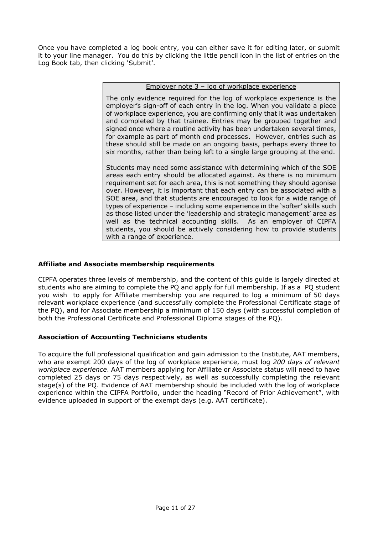Once you have completed a log book entry, you can either save it for editing later, or submit it to your line manager. You do this by clicking the little pencil icon in the list of entries on the Log Book tab, then clicking 'Submit'.

#### Employer note 3 – log of workplace experience

The only evidence required for the log of workplace experience is the employer's sign-off of each entry in the log. When you validate a piece of workplace experience, you are confirming only that it was undertaken and completed by that trainee. Entries may be grouped together and signed once where a routine activity has been undertaken several times, for example as part of month end processes. However, entries such as these should still be made on an ongoing basis, perhaps every three to six months, rather than being left to a single large grouping at the end.

Students may need some assistance with determining which of the SOE areas each entry should be allocated against. As there is no minimum requirement set for each area, this is not something they should agonise over. However, it is important that each entry can be associated with a SOE area, and that students are encouraged to look for a wide range of types of experience – including some experience in the 'softer' skills such as those listed under the 'leadership and strategic management' area as well as the technical accounting skills. As an employer of CIPFA students, you should be actively considering how to provide students with a range of experience.

#### <span id="page-10-0"></span>**Affiliate and Associate membership requirements**

CIPFA operates three levels of membership, and the content of this guide is largely directed at students who are aiming to complete the PQ and apply for full membership. If as a PQ student you wish to apply for Affiliate membership you are required to log a minimum of 50 days relevant workplace experience (and successfully complete the Professional Certificate stage of the PQ), and for Associate membership a minimum of 150 days (with successful completion of both the Professional Certificate and Professional Diploma stages of the PQ).

#### <span id="page-10-1"></span>**Association of Accounting Technicians students**

To acquire the full professional qualification and gain admission to the Institute, AAT members, who are exempt 200 days of the log of workplace experience, must log *200 days of relevant workplace experience*. AAT members applying for Affiliate or Associate status will need to have completed 25 days or 75 days respectively, as well as successfully completing the relevant stage(s) of the PQ. Evidence of AAT membership should be included with the log of workplace experience within the CIPFA Portfolio, under the heading "Record of Prior Achievement", with evidence uploaded in support of the exempt days (e.g. AAT certificate).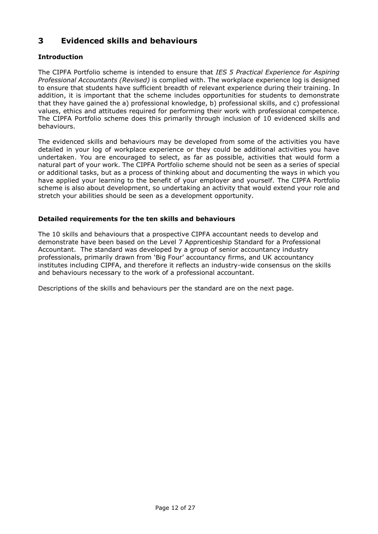## <span id="page-11-0"></span>**3 Evidenced skills and behaviours**

### **Introduction**

The CIPFA Portfolio scheme is intended to ensure that *IES 5 Practical Experience for Aspiring Professional Accountants (Revised)* is complied with. The workplace experience log is designed to ensure that students have sufficient breadth of relevant experience during their training. In addition, it is important that the scheme includes opportunities for students to demonstrate that they have gained the a) professional knowledge, b) professional skills, and c) professional values, ethics and attitudes required for performing their work with professional competence. The CIPFA Portfolio scheme does this primarily through inclusion of 10 evidenced skills and behaviours.

The evidenced skills and behaviours may be developed from some of the activities you have detailed in your log of workplace experience or they could be additional activities you have undertaken. You are encouraged to select, as far as possible, activities that would form a natural part of your work. The CIPFA Portfolio scheme should not be seen as a series of special or additional tasks, but as a process of thinking about and documenting the ways in which you have applied your learning to the benefit of your employer and yourself. The CIPFA Portfolio scheme is also about development, so undertaking an activity that would extend your role and stretch your abilities should be seen as a development opportunity.

#### **Detailed requirements for the ten skills and behaviours**

The 10 skills and behaviours that a prospective CIPFA accountant needs to develop and demonstrate have been based on the Level 7 Apprenticeship Standard for a Professional Accountant. The standard was developed by a group of senior accountancy industry professionals, primarily drawn from 'Big Four' accountancy firms, and UK accountancy institutes including CIPFA, and therefore it reflects an industry-wide consensus on the skills and behaviours necessary to the work of a professional accountant.

Descriptions of the skills and behaviours per the standard are on the next page.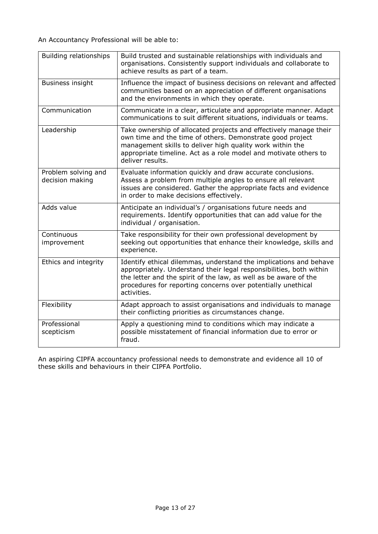| Building relationships                 | Build trusted and sustainable relationships with individuals and<br>organisations. Consistently support individuals and collaborate to<br>achieve results as part of a team.                                                                                                                |
|----------------------------------------|---------------------------------------------------------------------------------------------------------------------------------------------------------------------------------------------------------------------------------------------------------------------------------------------|
| <b>Business insight</b>                | Influence the impact of business decisions on relevant and affected<br>communities based on an appreciation of different organisations<br>and the environments in which they operate.                                                                                                       |
| Communication                          | Communicate in a clear, articulate and appropriate manner. Adapt<br>communications to suit different situations, individuals or teams.                                                                                                                                                      |
| Leadership                             | Take ownership of allocated projects and effectively manage their<br>own time and the time of others. Demonstrate good project<br>management skills to deliver high quality work within the<br>appropriate timeline. Act as a role model and motivate others to<br>deliver results.         |
| Problem solving and<br>decision making | Evaluate information quickly and draw accurate conclusions.<br>Assess a problem from multiple angles to ensure all relevant<br>issues are considered. Gather the appropriate facts and evidence<br>in order to make decisions effectively.                                                  |
| Adds value                             | Anticipate an individual's / organisations future needs and<br>requirements. Identify opportunities that can add value for the<br>individual / organisation.                                                                                                                                |
| Continuous<br>improvement              | Take responsibility for their own professional development by<br>seeking out opportunities that enhance their knowledge, skills and<br>experience.                                                                                                                                          |
| Ethics and integrity                   | Identify ethical dilemmas, understand the implications and behave<br>appropriately. Understand their legal responsibilities, both within<br>the letter and the spirit of the law, as well as be aware of the<br>procedures for reporting concerns over potentially unethical<br>activities. |
| Flexibility                            | Adapt approach to assist organisations and individuals to manage<br>their conflicting priorities as circumstances change.                                                                                                                                                                   |
| Professional<br>scepticism             | Apply a questioning mind to conditions which may indicate a<br>possible misstatement of financial information due to error or<br>fraud.                                                                                                                                                     |

An aspiring CIPFA accountancy professional needs to demonstrate and evidence all 10 of these skills and behaviours in their CIPFA Portfolio.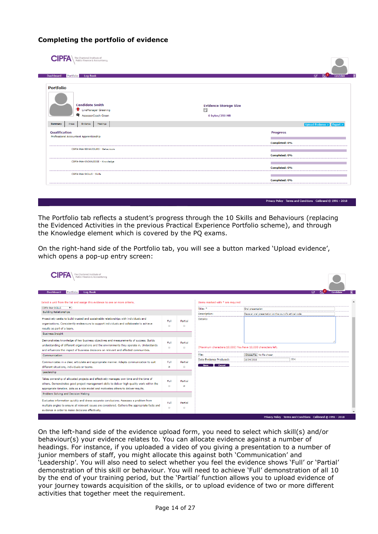#### <span id="page-13-0"></span>**Completing the portfolio of evidence**

CIPFA\The Chartered Institute of Dashboard Portfolio Log Book **Portfolio Candidate Smith Evidence Storage Size** <sup>De</sup> LineManager Greening B AssessorCoach Green 0 bytes/250  $MB$ Summary Areas Evidence Meetings **Qualification Progress** Professional Accountant Apprenticeship Completed: 0% CIPFA-PAA-BEHAVIOURS - Behaviours Completed: 0% CIPFA-PAA-KNOWLEDGE - Knowledge Completed: 0% CTREA-RAA-SKTLLS - Skille Completed: 0%

Privacy Policy Terms and Conditions Calibrand © 1991 - 2018

The Portfolio tab reflects a student's progress through the 10 Skills and Behaviours (replacing the Evidenced Activities in the previous Practical Experience Portfolio scheme), and through the Knowledge element which is covered by the PQ exams.

On the right-hand side of the Portfolio tab, you will see a button marked 'Upload evidence', which opens a pop-up entry screen:

| he Chartered Institute of<br>Public Finance & Accountancy                                                                                                                                                                                                                    |                |                                                        |                                                              |                                                         |                                                             |           |
|------------------------------------------------------------------------------------------------------------------------------------------------------------------------------------------------------------------------------------------------------------------------------|----------------|--------------------------------------------------------|--------------------------------------------------------------|---------------------------------------------------------|-------------------------------------------------------------|-----------|
| <b>Dashboard</b><br>Portfolio<br><b>Log Book</b>                                                                                                                                                                                                                             |                |                                                        |                                                              |                                                         | ☞                                                           | Candidate |
| Select a unit from the list and assign this evidence to one or more criteria.                                                                                                                                                                                                |                |                                                        | Items marked with * are required                             |                                                         |                                                             |           |
| <b>CIPFA-PAA-SKILLS</b><br>$\overline{\mathbf{v}}$                                                                                                                                                                                                                           |                |                                                        | Title: *                                                     | Oral presentation                                       |                                                             |           |
| <b>Building Relationships</b>                                                                                                                                                                                                                                                |                |                                                        | Description:                                                 | Gave an oral presentation on the council's ethical code |                                                             |           |
| Proactively seeks to build trusted and sustainable relationships with individuals and<br>organisations. Consistently endeavours to support individuals and collaborate to achieve<br>results as part of a team.                                                              | Full<br>$\Box$ | Partial                                                | Details:                                                     |                                                         |                                                             |           |
| <b>Business Insight</b>                                                                                                                                                                                                                                                      |                |                                                        |                                                              |                                                         |                                                             |           |
| Demonstrates knowledge of key business objectives and measurements of success. Builds<br>understanding of different organisations and the environments they operate in. Understands<br>and influences the impact of business decisions on relevant and affected communities. | Full           | Partial                                                | (Maximum characters:10,000) You have 10,000 characters left. |                                                         |                                                             |           |
| <b>Communication</b>                                                                                                                                                                                                                                                         |                |                                                        | File:                                                        | Choose File No file chosen                              |                                                             |           |
| Communicates in a clear, articulate and appropriate manner. Adapts communication to suit<br>different situations, individuals or teams.                                                                                                                                      | Full<br>×.     | Partial<br>$\qquad \qquad \Box$                        | Date Evidence Produced:<br>Save Cancel                       | 16/04/2018                                              | $\overline{\mathbf{H}}$                                     |           |
| Leadership                                                                                                                                                                                                                                                                   |                |                                                        |                                                              |                                                         |                                                             |           |
| Takes ownership of allocated projects and effectively manages own time and the time of<br>others. Demonstrates good project management skills to deliver high quality work within the<br>appropriate timeline. Acts as a role model and motivates others to deliver results. | Full<br>$\Box$ | Partial<br>$\overline{\mathcal{L}}$                    |                                                              |                                                         |                                                             |           |
| Problem Solving and Decision Making                                                                                                                                                                                                                                          |                |                                                        |                                                              |                                                         |                                                             |           |
| Evaluates information quickly and draws accurate conclusions. Assesses a problem from<br>multiple angles to ensure all relevant issues are considered. Gathers the appropriate facts and<br>evidence in order to make decisions effectively.                                 | Full<br>$\Box$ | Partial<br>$\qquad \qquad \qquad \qquad \qquad \qquad$ |                                                              |                                                         |                                                             |           |
|                                                                                                                                                                                                                                                                              |                |                                                        |                                                              |                                                         | Privacy Policy Terms and Conditions Calibrand @ 1991 - 2018 |           |

On the left-hand side of the evidence upload form, you need to select which skill(s) and/or behaviour(s) your evidence relates to. You can allocate evidence against a number of headings. For instance, if you uploaded a video of you giving a presentation to a number of junior members of staff, you might allocate this against both 'Communication' and 'Leadership'. You will also need to select whether you feel the evidence shows 'Full' or 'Partial' demonstration of this skill or behaviour. You will need to achieve 'Full' demonstration of all 10 by the end of your training period, but the 'Partial' function allows you to upload evidence of your journey towards acquisition of the skills, or to upload evidence of two or more different activities that together meet the requirement.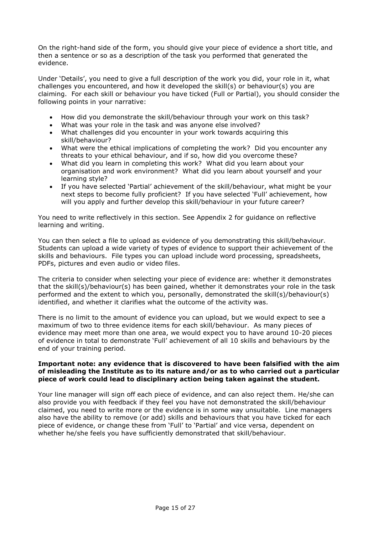On the right-hand side of the form, you should give your piece of evidence a short title, and then a sentence or so as a description of the task you performed that generated the evidence.

Under 'Details', you need to give a full description of the work you did, your role in it, what challenges you encountered, and how it developed the skill(s) or behaviour(s) you are claiming. For each skill or behaviour you have ticked (Full or Partial), you should consider the following points in your narrative:

- How did you demonstrate the skill/behaviour through your work on this task?
- What was your role in the task and was anyone else involved?
- What challenges did you encounter in your work towards acquiring this skill/behaviour?
- What were the ethical implications of completing the work? Did you encounter any threats to your ethical behaviour, and if so, how did you overcome these?
- What did you learn in completing this work? What did you learn about your organisation and work environment? What did you learn about yourself and your learning style?
- If you have selected 'Partial' achievement of the skill/behaviour, what might be your next steps to become fully proficient? If you have selected 'Full' achievement, how will you apply and further develop this skill/behaviour in your future career?

You need to write reflectively in this section. See Appendix 2 for guidance on reflective learning and writing.

You can then select a file to upload as evidence of you demonstrating this skill/behaviour. Students can upload a wide variety of types of evidence to support their achievement of the skills and behaviours. File types you can upload include word processing, spreadsheets, PDFs, pictures and even audio or video files.

The criteria to consider when selecting your piece of evidence are: whether it demonstrates that the skill(s)/behaviour(s) has been gained, whether it demonstrates your role in the task performed and the extent to which you, personally, demonstrated the skill(s)/behaviour(s) identified, and whether it clarifies what the outcome of the activity was.

There is no limit to the amount of evidence you can upload, but we would expect to see a maximum of two to three evidence items for each skill/behaviour. As many pieces of evidence may meet more than one area, we would expect you to have around 10-20 pieces of evidence in total to demonstrate 'Full' achievement of all 10 skills and behaviours by the end of your training period.

#### **Important note: any evidence that is discovered to have been falsified with the aim of misleading the Institute as to its nature and/or as to who carried out a particular piece of work could lead to disciplinary action being taken against the student.**

Your line manager will sign off each piece of evidence, and can also reject them. He/she can also provide you with feedback if they feel you have not demonstrated the skill/behaviour claimed, you need to write more or the evidence is in some way unsuitable. Line managers also have the ability to remove (or add) skills and behaviours that you have ticked for each piece of evidence, or change these from 'Full' to 'Partial' and vice versa, dependent on whether he/she feels you have sufficiently demonstrated that skill/behaviour.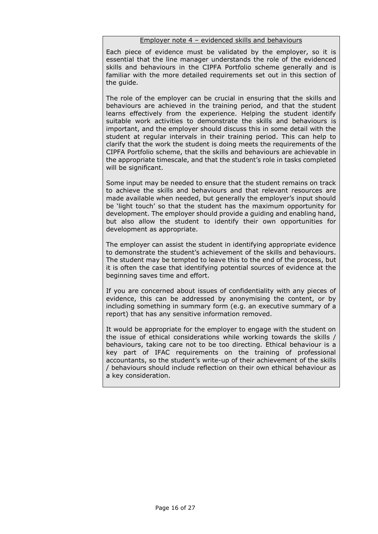#### Employer note 4 – evidenced skills and behaviours

Each piece of evidence must be validated by the employer, so it is essential that the line manager understands the role of the evidenced skills and behaviours in the CIPFA Portfolio scheme generally and is familiar with the more detailed requirements set out in this section of the guide.

The role of the employer can be crucial in ensuring that the skills and behaviours are achieved in the training period, and that the student learns effectively from the experience. Helping the student identify suitable work activities to demonstrate the skills and behaviours is important, and the employer should discuss this in some detail with the student at regular intervals in their training period. This can help to clarify that the work the student is doing meets the requirements of the CIPFA Portfolio scheme, that the skills and behaviours are achievable in the appropriate timescale, and that the student's role in tasks completed will be significant.

Some input may be needed to ensure that the student remains on track to achieve the skills and behaviours and that relevant resources are made available when needed, but generally the employer's input should be 'light touch' so that the student has the maximum opportunity for development. The employer should provide a guiding and enabling hand, but also allow the student to identify their own opportunities for development as appropriate.

The employer can assist the student in identifying appropriate evidence to demonstrate the student's achievement of the skills and behaviours. The student may be tempted to leave this to the end of the process, but it is often the case that identifying potential sources of evidence at the beginning saves time and effort.

If you are concerned about issues of confidentiality with any pieces of evidence, this can be addressed by anonymising the content, or by including something in summary form (e.g. an executive summary of a report) that has any sensitive information removed.

It would be appropriate for the employer to engage with the student on the issue of ethical considerations while working towards the skills / behaviours, taking care not to be too directing. Ethical behaviour is a key part of IFAC requirements on the training of professional accountants, so the student's write-up of their achievement of the skills / behaviours should include reflection on their own ethical behaviour as a key consideration.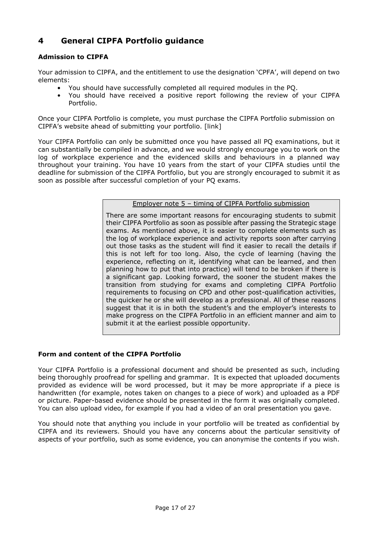## <span id="page-16-0"></span>**4 General CIPFA Portfolio guidance**

#### **Admission to CIPFA**

Your admission to CIPFA, and the entitlement to use the designation 'CPFA', will depend on two elements:

- You should have successfully completed all required modules in the PQ.
- You should have received a positive report following the review of your CIPFA Portfolio.

Once your CIPFA Portfolio is complete, you must purchase the CIPFA Portfolio submission on CIPFA's website ahead of submitting your portfolio. [\[link\]](http://www.cipfa.org/examproducts/p/practical-experience-portfolio-pep-submission)

Your CIPFA Portfolio can only be submitted once you have passed all PQ examinations, but it can substantially be compiled in advance, and we would strongly encourage you to work on the log of workplace experience and the evidenced skills and behaviours in a planned way throughout your training. You have 10 years from the start of your CIPFA studies until the deadline for submission of the CIPFA Portfolio, but you are strongly encouraged to submit it as soon as possible after successful completion of your PQ exams.

Employer note 5 – timing of CIPFA Portfolio submission

There are some important reasons for encouraging students to submit their CIPFA Portfolio as soon as possible after passing the Strategic stage exams. As mentioned above, it is easier to complete elements such as the log of workplace experience and activity reports soon after carrying out those tasks as the student will find it easier to recall the details if this is not left for too long. Also, the cycle of learning (having the experience, reflecting on it, identifying what can be learned, and then planning how to put that into practice) will tend to be broken if there is a significant gap. Looking forward, the sooner the student makes the transition from studying for exams and completing CIPFA Portfolio requirements to focusing on CPD and other post-qualification activities, the quicker he or she will develop as a professional. All of these reasons suggest that it is in both the student's and the employer's interests to make progress on the CIPFA Portfolio in an efficient manner and aim to submit it at the earliest possible opportunity.

#### **Form and content of the CIPFA Portfolio**

Your CIPFA Portfolio is a professional document and should be presented as such, including being thoroughly proofread for spelling and grammar. It is expected that uploaded documents provided as evidence will be word processed, but it may be more appropriate if a piece is handwritten (for example, notes taken on changes to a piece of work) and uploaded as a PDF or picture. Paper-based evidence should be presented in the form it was originally completed. You can also upload video, for example if you had a video of an oral presentation you gave.

You should note that anything you include in your portfolio will be treated as confidential by CIPFA and its reviewers. Should you have any concerns about the particular sensitivity of aspects of your portfolio, such as some evidence, you can anonymise the contents if you wish.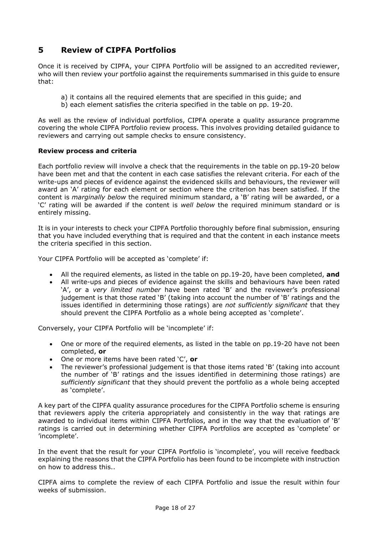## <span id="page-17-0"></span>**5 Review of CIPFA Portfolios**

Once it is received by CIPFA, your CIPFA Portfolio will be assigned to an accredited reviewer, who will then review your portfolio against the requirements summarised in this guide to ensure that:

- a) it contains all the required elements that are specified in this guide; and
- b) each element satisfies the criteria specified in the table on pp. 19-20.

As well as the review of individual portfolios, CIPFA operate a quality assurance programme covering the whole CIPFA Portfolio review process. This involves providing detailed guidance to reviewers and carrying out sample checks to ensure consistency.

#### **Review process and criteria**

Each portfolio review will involve a check that the requirements in the table on pp.19-20 below have been met and that the content in each case satisfies the relevant criteria. For each of the write-ups and pieces of evidence against the evidenced skills and behaviours, the reviewer will award an 'A' rating for each element or section where the criterion has been satisfied. If the content is *marginally below* the required minimum standard, a 'B' rating will be awarded, or a 'C' rating will be awarded if the content is *well below* the required minimum standard or is entirely missing.

It is in your interests to check your CIPFA Portfolio thoroughly before final submission, ensuring that you have included everything that is required and that the content in each instance meets the criteria specified in this section.

Your CIPFA Portfolio will be accepted as 'complete' if:

- All the required elements, as listed in the table on pp.19-20, have been completed, **and**
- All write-ups and pieces of evidence against the skills and behaviours have been rated 'A', or a *very limited number* have been rated 'B' and the reviewer's professional judgement is that those rated 'B' (taking into account the number of 'B' ratings and the issues identified in determining those ratings) are *not sufficiently significant* that they should prevent the CIPFA Portfolio as a whole being accepted as 'complete'.

Conversely, your CIPFA Portfolio will be 'incomplete' if:

- One or more of the required elements, as listed in the table on pp.19-20 have not been completed, **or**
- One or more items have been rated 'C', **or**
- The reviewer's professional judgement is that those items rated 'B' (taking into account the number of 'B' ratings and the issues identified in determining those ratings) are *sufficiently significant* that they should prevent the portfolio as a whole being accepted as 'complete'.

A key part of the CIPFA quality assurance procedures for the CIPFA Portfolio scheme is ensuring that reviewers apply the criteria appropriately and consistently in the way that ratings are awarded to individual items within CIPFA Portfolios, and in the way that the evaluation of 'B' ratings is carried out in determining whether CIPFA Portfolios are accepted as 'complete' or 'incomplete'.

In the event that the result for your CIPFA Portfolio is 'incomplete', you will receive feedback explaining the reasons that the CIPFA Portfolio has been found to be incomplete with instruction on how to address this..

CIPFA aims to complete the review of each CIPFA Portfolio and issue the result within four weeks of submission.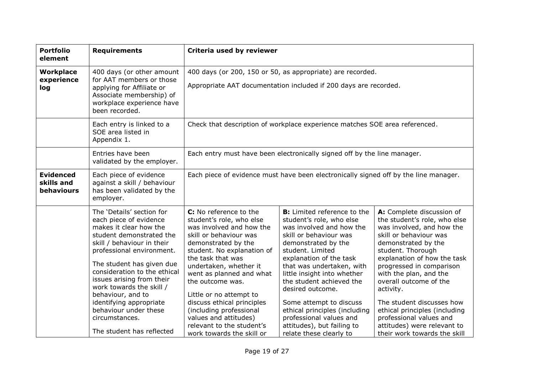| <b>Portfolio</b><br>element                  | <b>Requirements</b>                                                                                                                                                                                                                                                                                                                                                                                                | Criteria used by reviewer                                                                                                                                                                                                                                                                                                                                                                                                           |                                                                                                                                                                                                                                                                                                                                                                                                                                                        |                                                                                                                                                                                                                                                                                                                                                                                                                                                  |  |  |
|----------------------------------------------|--------------------------------------------------------------------------------------------------------------------------------------------------------------------------------------------------------------------------------------------------------------------------------------------------------------------------------------------------------------------------------------------------------------------|-------------------------------------------------------------------------------------------------------------------------------------------------------------------------------------------------------------------------------------------------------------------------------------------------------------------------------------------------------------------------------------------------------------------------------------|--------------------------------------------------------------------------------------------------------------------------------------------------------------------------------------------------------------------------------------------------------------------------------------------------------------------------------------------------------------------------------------------------------------------------------------------------------|--------------------------------------------------------------------------------------------------------------------------------------------------------------------------------------------------------------------------------------------------------------------------------------------------------------------------------------------------------------------------------------------------------------------------------------------------|--|--|
| <b>Workplace</b><br>experience<br>log        | 400 days (or other amount<br>for AAT members or those<br>applying for Affiliate or<br>Associate membership) of<br>workplace experience have<br>been recorded.                                                                                                                                                                                                                                                      | 400 days (or 200, 150 or 50, as appropriate) are recorded.<br>Appropriate AAT documentation included if 200 days are recorded.                                                                                                                                                                                                                                                                                                      |                                                                                                                                                                                                                                                                                                                                                                                                                                                        |                                                                                                                                                                                                                                                                                                                                                                                                                                                  |  |  |
|                                              | Each entry is linked to a<br>SOE area listed in<br>Appendix 1.                                                                                                                                                                                                                                                                                                                                                     | Check that description of workplace experience matches SOE area referenced.                                                                                                                                                                                                                                                                                                                                                         |                                                                                                                                                                                                                                                                                                                                                                                                                                                        |                                                                                                                                                                                                                                                                                                                                                                                                                                                  |  |  |
|                                              | Entries have been<br>validated by the employer.                                                                                                                                                                                                                                                                                                                                                                    | Each entry must have been electronically signed off by the line manager.                                                                                                                                                                                                                                                                                                                                                            |                                                                                                                                                                                                                                                                                                                                                                                                                                                        |                                                                                                                                                                                                                                                                                                                                                                                                                                                  |  |  |
| <b>Evidenced</b><br>skills and<br>behaviours | Each piece of evidence<br>against a skill / behaviour<br>has been validated by the<br>employer.                                                                                                                                                                                                                                                                                                                    | Each piece of evidence must have been electronically signed off by the line manager.                                                                                                                                                                                                                                                                                                                                                |                                                                                                                                                                                                                                                                                                                                                                                                                                                        |                                                                                                                                                                                                                                                                                                                                                                                                                                                  |  |  |
|                                              | The 'Details' section for<br>each piece of evidence<br>makes it clear how the<br>student demonstrated the<br>skill / behaviour in their<br>professional environment.<br>The student has given due<br>consideration to the ethical<br>issues arising from their<br>work towards the skill /<br>behaviour, and to<br>identifying appropriate<br>behaviour under these<br>circumstances.<br>The student has reflected | C: No reference to the<br>student's role, who else<br>was involved and how the<br>skill or behaviour was<br>demonstrated by the<br>student. No explanation of<br>the task that was<br>undertaken, whether it<br>went as planned and what<br>the outcome was.<br>Little or no attempt to<br>discuss ethical principles<br>(including professional<br>values and attitudes)<br>relevant to the student's<br>work towards the skill or | <b>B:</b> Limited reference to the<br>student's role, who else<br>was involved and how the<br>skill or behaviour was<br>demonstrated by the<br>student. Limited<br>explanation of the task<br>that was undertaken, with<br>little insight into whether<br>the student achieved the<br>desired outcome.<br>Some attempt to discuss<br>ethical principles (including<br>professional values and<br>attitudes), but failing to<br>relate these clearly to | A: Complete discussion of<br>the student's role, who else<br>was involved, and how the<br>skill or behaviour was<br>demonstrated by the<br>student. Thorough<br>explanation of how the task<br>progressed in comparison<br>with the plan, and the<br>overall outcome of the<br>activity.<br>The student discusses how<br>ethical principles (including<br>professional values and<br>attitudes) were relevant to<br>their work towards the skill |  |  |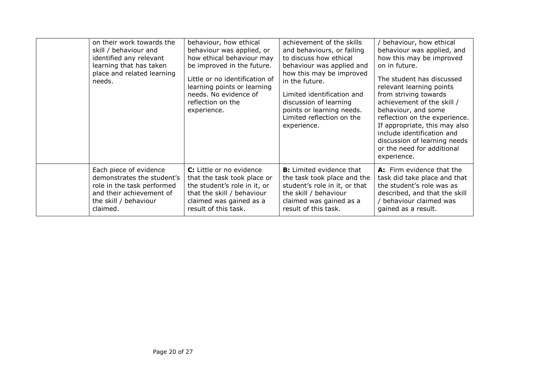| on their work towards the<br>skill / behaviour and<br>identified any relevant<br>learning that has taken<br>place and related learning<br>needs. | behaviour, how ethical<br>behaviour was applied, or<br>how ethical behaviour may<br>be improved in the future.<br>Little or no identification of<br>learning points or learning<br>needs. No evidence of<br>reflection on the<br>experience. | achievement of the skills<br>and behaviours, or failing<br>to discuss how ethical<br>behaviour was applied and<br>how this may be improved<br>in the future.<br>Limited identification and<br>discussion of learning<br>points or learning needs.<br>Limited reflection on the<br>experience. | behaviour, how ethical<br>behaviour was applied, and<br>how this may be improved<br>on in future.<br>The student has discussed<br>relevant learning points<br>from striving towards<br>achievement of the skill /<br>behaviour, and some<br>reflection on the experience.<br>If appropriate, this may also<br>include identification and<br>discussion of learning needs<br>or the need for additional<br>experience. |
|--------------------------------------------------------------------------------------------------------------------------------------------------|----------------------------------------------------------------------------------------------------------------------------------------------------------------------------------------------------------------------------------------------|-----------------------------------------------------------------------------------------------------------------------------------------------------------------------------------------------------------------------------------------------------------------------------------------------|-----------------------------------------------------------------------------------------------------------------------------------------------------------------------------------------------------------------------------------------------------------------------------------------------------------------------------------------------------------------------------------------------------------------------|
| Each piece of evidence                                                                                                                           | C: Little or no evidence                                                                                                                                                                                                                     | <b>B:</b> Limited evidence that                                                                                                                                                                                                                                                               | A: Firm evidence that the                                                                                                                                                                                                                                                                                                                                                                                             |
| demonstrates the student's                                                                                                                       | that the task took place or                                                                                                                                                                                                                  | the task took place and the                                                                                                                                                                                                                                                                   | task did take place and that                                                                                                                                                                                                                                                                                                                                                                                          |
| role in the task performed                                                                                                                       | the student's role in it, or                                                                                                                                                                                                                 | student's role in it, or that                                                                                                                                                                                                                                                                 | the student's role was as                                                                                                                                                                                                                                                                                                                                                                                             |
| and their achievement of                                                                                                                         | that the skill / behaviour                                                                                                                                                                                                                   | the skill / behaviour                                                                                                                                                                                                                                                                         | described, and that the skill                                                                                                                                                                                                                                                                                                                                                                                         |
| the skill / behaviour                                                                                                                            | claimed was gained as a                                                                                                                                                                                                                      | claimed was gained as a                                                                                                                                                                                                                                                                       | / behaviour claimed was                                                                                                                                                                                                                                                                                                                                                                                               |
| claimed.                                                                                                                                         | result of this task.                                                                                                                                                                                                                         | result of this task.                                                                                                                                                                                                                                                                          | gained as a result.                                                                                                                                                                                                                                                                                                                                                                                                   |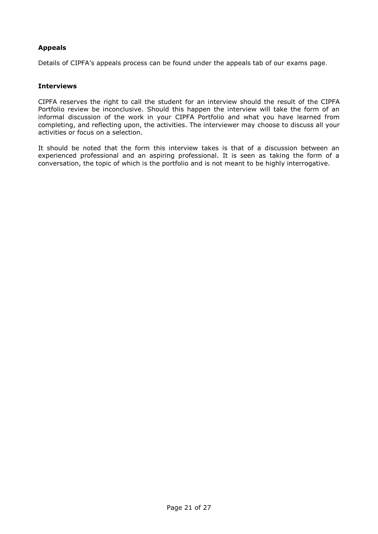#### **Appeals**

Details of CIPFA's appeals process can be found under the appeals tab of our [exams page.](https://www.cipfa.org/qualifications/students/exams)

#### **Interviews**

CIPFA reserves the right to call the student for an interview should the result of the CIPFA Portfolio review be inconclusive. Should this happen the interview will take the form of an informal discussion of the work in your CIPFA Portfolio and what you have learned from completing, and reflecting upon, the activities. The interviewer may choose to discuss all your activities or focus on a selection.

It should be noted that the form this interview takes is that of a discussion between an experienced professional and an aspiring professional. It is seen as taking the form of a conversation, the topic of which is the portfolio and is not meant to be highly interrogative.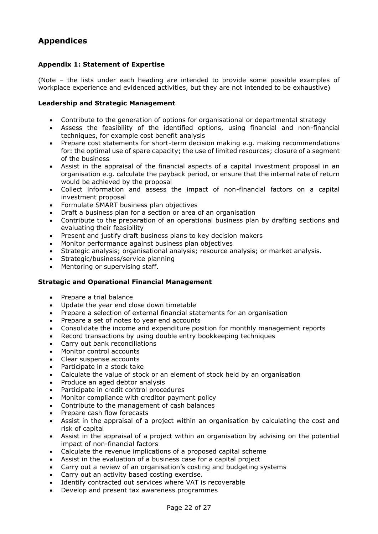## <span id="page-21-0"></span>**Appendices**

#### <span id="page-21-1"></span>**Appendix 1: Statement of Expertise**

(Note – the lists under each heading are intended to provide some possible examples of workplace experience and evidenced activities, but they are not intended to be exhaustive)

#### **Leadership and Strategic Management**

- Contribute to the generation of options for organisational or departmental strategy
- Assess the feasibility of the identified options, using financial and non-financial techniques, for example cost benefit analysis
- Prepare cost statements for short-term decision making e.g. making recommendations for: the optimal use of spare capacity; the use of limited resources; closure of a segment of the business
- Assist in the appraisal of the financial aspects of a capital investment proposal in an organisation e.g. calculate the payback period, or ensure that the internal rate of return would be achieved by the proposal
- Collect information and assess the impact of non-financial factors on a capital investment proposal
- Formulate SMART business plan objectives
- Draft a business plan for a section or area of an organisation
- Contribute to the preparation of an operational business plan by drafting sections and evaluating their feasibility
- Present and justify draft business plans to key decision makers
- Monitor performance against business plan objectives
- Strategic analysis; organisational analysis; resource analysis; or market analysis.
- Strategic/business/service planning
- Mentoring or supervising staff.

#### **Strategic and Operational Financial Management**

- Prepare a trial balance
- Update the year end close down timetable
- Prepare a selection of external financial statements for an organisation
- Prepare a set of notes to year end accounts
- Consolidate the income and expenditure position for monthly management reports
- Record transactions by using double entry bookkeeping techniques
- Carry out bank reconciliations
- Monitor control accounts
- Clear suspense accounts
- Participate in a stock take
- Calculate the value of stock or an element of stock held by an organisation
- Produce an aged debtor analysis
- Participate in credit control procedures
- Monitor compliance with creditor payment policy
- Contribute to the management of cash balances
- Prepare cash flow forecasts
- Assist in the appraisal of a project within an organisation by calculating the cost and risk of capital
- Assist in the appraisal of a project within an organisation by advising on the potential impact of non-financial factors
- Calculate the revenue implications of a proposed capital scheme
- Assist in the evaluation of a business case for a capital project
- Carry out a review of an organisation's costing and budgeting systems
- Carry out an activity based costing exercise.
- Identify contracted out services where VAT is recoverable
- Develop and present tax awareness programmes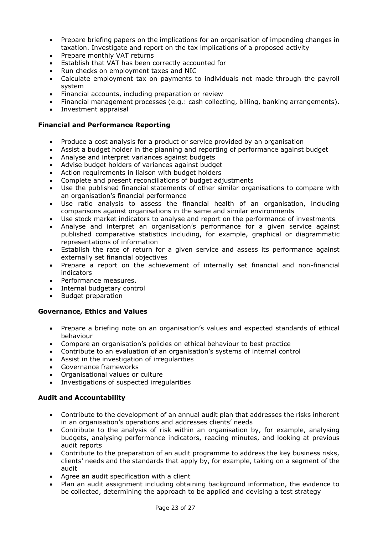- Prepare briefing papers on the implications for an organisation of impending changes in taxation. Investigate and report on the tax implications of a proposed activity
- Prepare monthly VAT returns
- Establish that VAT has been correctly accounted for
- Run checks on employment taxes and NIC
- Calculate employment tax on payments to individuals not made through the payroll system
- Financial accounts, including preparation or review
- Financial management processes (e.g.: cash collecting, billing, banking arrangements).
- Investment appraisal

#### **Financial and Performance Reporting**

- Produce a cost analysis for a product or service provided by an organisation
- Assist a budget holder in the planning and reporting of performance against budget
- Analyse and interpret variances against budgets
- Advise budget holders of variances against budget
- Action requirements in liaison with budget holders
- Complete and present reconciliations of budget adjustments
- Use the published financial statements of other similar organisations to compare with an organisation's financial performance
- Use ratio analysis to assess the financial health of an organisation, including comparisons against organisations in the same and similar environments
- Use stock market indicators to analyse and report on the performance of investments
- Analyse and interpret an organisation's performance for a given service against published comparative statistics including, for example, graphical or diagrammatic representations of information
- Establish the rate of return for a given service and assess its performance against externally set financial objectives
- Prepare a report on the achievement of internally set financial and non-financial indicators
- Performance measures.
- Internal budgetary control
- Budget preparation

#### **Governance, Ethics and Values**

- Prepare a briefing note on an organisation's values and expected standards of ethical behaviour
- Compare an organisation's policies on ethical behaviour to best practice
- Contribute to an evaluation of an organisation's systems of internal control
- Assist in the investigation of irregularities
- Governance frameworks
- Organisational values or culture
- Investigations of suspected irregularities

#### **Audit and Accountability**

- Contribute to the development of an annual audit plan that addresses the risks inherent in an organisation's operations and addresses clients' needs
- Contribute to the analysis of risk within an organisation by, for example, analysing budgets, analysing performance indicators, reading minutes, and looking at previous audit reports
- Contribute to the preparation of an audit programme to address the key business risks, clients' needs and the standards that apply by, for example, taking on a segment of the audit
- Agree an audit specification with a client
- Plan an audit assignment including obtaining background information, the evidence to be collected, determining the approach to be applied and devising a test strategy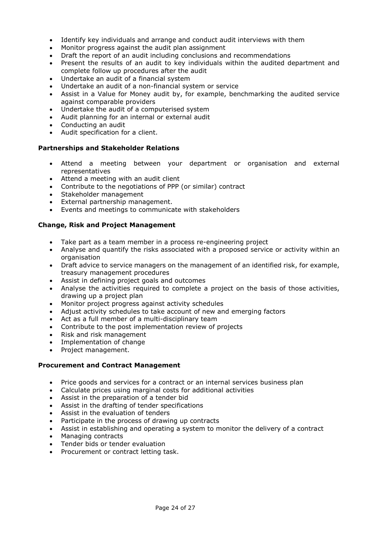- Identify key individuals and arrange and conduct audit interviews with them
- Monitor progress against the audit plan assignment
- Draft the report of an audit including conclusions and recommendations
- Present the results of an audit to key individuals within the audited department and complete follow up procedures after the audit
- Undertake an audit of a financial system
- Undertake an audit of a non-financial system or service
- Assist in a Value for Money audit by, for example, benchmarking the audited service against comparable providers
- Undertake the audit of a computerised system
- Audit planning for an internal or external audit
- Conducting an audit
- Audit specification for a client.

#### **Partnerships and Stakeholder Relations**

- Attend a meeting between your department or organisation and external representatives
- Attend a meeting with an audit client
- Contribute to the negotiations of PPP (or similar) contract
- Stakeholder management
- External partnership management.
- Events and meetings to communicate with stakeholders

#### **Change, Risk and Project Management**

- Take part as a team member in a process re-engineering project
- Analyse and quantify the risks associated with a proposed service or activity within an organisation
- Draft advice to service managers on the management of an identified risk, for example, treasury management procedures
- Assist in defining project goals and outcomes
- Analyse the activities required to complete a project on the basis of those activities, drawing up a project plan
- Monitor project progress against activity schedules
- Adjust activity schedules to take account of new and emerging factors
- Act as a full member of a multi-disciplinary team
- Contribute to the post implementation review of projects
- Risk and risk management
- Implementation of change
- Project management.

#### **Procurement and Contract Management**

- Price goods and services for a contract or an internal services business plan
- Calculate prices using marginal costs for additional activities
- Assist in the preparation of a tender bid
- Assist in the drafting of tender specifications
- Assist in the evaluation of tenders
- Participate in the process of drawing up contracts
- Assist in establishing and operating a system to monitor the delivery of a contract
- Managing contracts
- Tender bids or tender evaluation
- Procurement or contract letting task.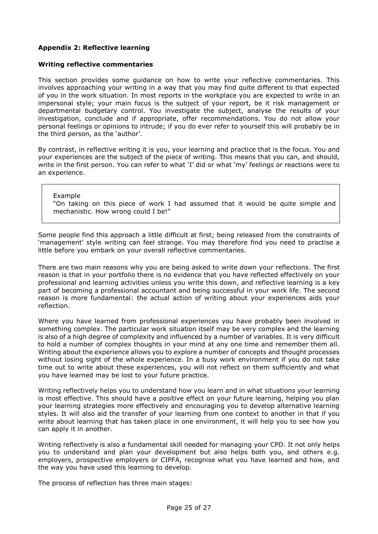#### <span id="page-24-0"></span>**Appendix 2: Reflective learning**

#### **Writing reflective commentaries**

This section provides some guidance on how to write your reflective commentaries. This involves approaching your writing in a way that you may find quite different to that expected of you in the work situation. In most reports in the workplace you are expected to write in an impersonal style; your main focus is the subject of your report, be it risk management or departmental budgetary control. You investigate the subject, analyse the results of your investigation, conclude and if appropriate, offer recommendations. You do not allow your personal feelings or opinions to intrude; if you do ever refer to yourself this will probably be in the third person, as the 'author'.

By contrast, in reflective writing it is you, your learning and practice that is the focus. You and your experiences are the subject of the piece of writing. This means that you can, and should, write in the first person. You can refer to what 'I' did or what 'my' feelings or reactions were to an experience.

Example

"On taking on this piece of work I had assumed that it would be quite simple and mechanistic. How wrong could I be!"

Some people find this approach a little difficult at first; being released from the constraints of 'management' style writing can feel strange. You may therefore find you need to practise a little before you embark on your overall reflective commentaries.

There are two main reasons why you are being asked to write down your reflections. The first reason is that in your portfolio there is no evidence that you have reflected effectively on your professional and learning activities unless you write this down, and reflective learning is a key part of becoming a professional accountant and being successful in your work life. The second reason is more fundamental: the actual action of writing about your experiences aids your reflection.

Where you have learned from professional experiences you have probably been involved in something complex. The particular work situation itself may be very complex and the learning is also of a high degree of complexity and influenced by a number of variables. It is very difficult to hold a number of complex thoughts in your mind at any one time and remember them all. Writing about the experience allows you to explore a number of concepts and thought processes without losing sight of the whole experience. In a busy work environment if you do not take time out to write about these experiences, you will not reflect on them sufficiently and what you have learned may be lost to your future practice.

Writing reflectively helps you to understand how you learn and in what situations your learning is most effective. This should have a positive effect on your future learning, helping you plan your learning strategies more effectively and encouraging you to develop alternative learning styles. It will also aid the transfer of your learning from one context to another in that if you write about learning that has taken place in one environment, it will help you to see how you can apply it in another.

Writing reflectively is also a fundamental skill needed for managing your CPD. It not only helps you to understand and plan your development but also helps both you, and others e.g. employers, prospective employers or CIPFA, recognise what you have learned and how, and the way you have used this learning to develop.

The process of reflection has three main stages: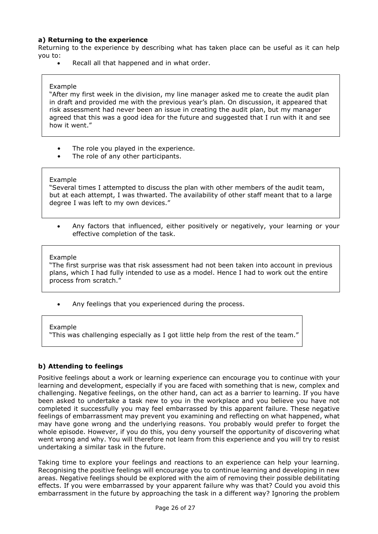#### **a) Returning to the experience**

Returning to the experience by describing what has taken place can be useful as it can help you to:

Recall all that happened and in what order.

#### Example

"After my first week in the division, my line manager asked me to create the audit plan in draft and provided me with the previous year's plan. On discussion, it appeared that risk assessment had never been an issue in creating the audit plan, but my manager agreed that this was a good idea for the future and suggested that I run with it and see how it went."

- The role you played in the experience.
- The role of any other participants.

#### Example

"Several times I attempted to discuss the plan with other members of the audit team, but at each attempt, I was thwarted. The availability of other staff meant that to a large degree I was left to my own devices."

 Any factors that influenced, either positively or negatively, your learning or your effective completion of the task.

#### Example

"The first surprise was that risk assessment had not been taken into account in previous plans, which I had fully intended to use as a model. Hence I had to work out the entire process from scratch."

Any feelings that you experienced during the process.

#### Example

"This was challenging especially as I got little help from the rest of the team."

#### **b) Attending to feelings**

Positive feelings about a work or learning experience can encourage you to continue with your learning and development, especially if you are faced with something that is new, complex and challenging. Negative feelings, on the other hand, can act as a barrier to learning. If you have been asked to undertake a task new to you in the workplace and you believe you have not completed it successfully you may feel embarrassed by this apparent failure. These negative feelings of embarrassment may prevent you examining and reflecting on what happened, what may have gone wrong and the underlying reasons. You probably would prefer to forget the whole episode. However, if you do this, you deny yourself the opportunity of discovering what went wrong and why. You will therefore not learn from this experience and you will try to resist undertaking a similar task in the future.

Taking time to explore your feelings and reactions to an experience can help your learning. Recognising the positive feelings will encourage you to continue learning and developing in new areas. Negative feelings should be explored with the aim of removing their possible debilitating effects. If you were embarrassed by your apparent failure why was that? Could you avoid this embarrassment in the future by approaching the task in a different way? Ignoring the problem